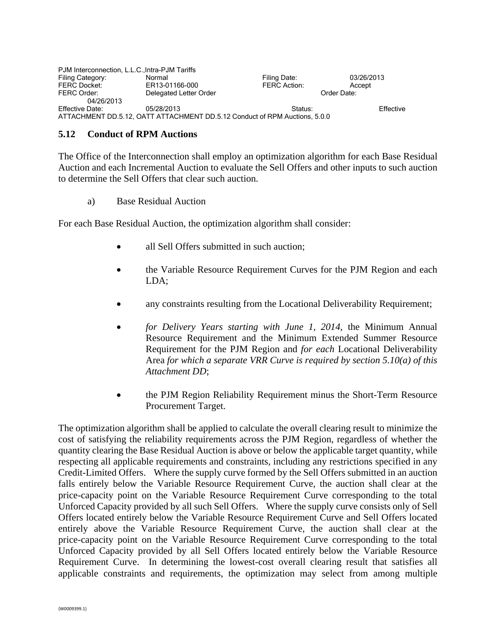| PJM Interconnection, L.L.C., Intra-PJM Tariffs                             |                        |                     |             |           |
|----------------------------------------------------------------------------|------------------------|---------------------|-------------|-----------|
| Filing Category:                                                           | Normal                 | Filing Date:        | 03/26/2013  |           |
| <b>FERC Docket:</b>                                                        | ER13-01166-000         | <b>FERC Action:</b> | Accept      |           |
| FERC Order:                                                                | Delegated Letter Order |                     | Order Date: |           |
| 04/26/2013                                                                 |                        |                     |             |           |
| Effective Date:                                                            | 05/28/2013             | Status:             |             | Effective |
| ATTACHMENT DD.5.12, OATT ATTACHMENT DD.5.12 Conduct of RPM Auctions, 5.0.0 |                        |                     |             |           |

## **5.12 Conduct of RPM Auctions**

The Office of the Interconnection shall employ an optimization algorithm for each Base Residual Auction and each Incremental Auction to evaluate the Sell Offers and other inputs to such auction to determine the Sell Offers that clear such auction.

a) Base Residual Auction

For each Base Residual Auction, the optimization algorithm shall consider:

- all Sell Offers submitted in such auction:
- the Variable Resource Requirement Curves for the PJM Region and each LDA;
- any constraints resulting from the Locational Deliverability Requirement;
- *for Delivery Years starting with June 1, 2014,* the Minimum Annual Resource Requirement and the Minimum Extended Summer Resource Requirement for the PJM Region and *for each* Locational Deliverability Area *for which a separate VRR Curve is required by section 5.10(a) of this Attachment DD*;
- the PJM Region Reliability Requirement minus the Short-Term Resource Procurement Target.

The optimization algorithm shall be applied to calculate the overall clearing result to minimize the cost of satisfying the reliability requirements across the PJM Region, regardless of whether the quantity clearing the Base Residual Auction is above or below the applicable target quantity, while respecting all applicable requirements and constraints, including any restrictions specified in any Credit-Limited Offers. Where the supply curve formed by the Sell Offers submitted in an auction falls entirely below the Variable Resource Requirement Curve, the auction shall clear at the price-capacity point on the Variable Resource Requirement Curve corresponding to the total Unforced Capacity provided by all such Sell Offers. Where the supply curve consists only of Sell Offers located entirely below the Variable Resource Requirement Curve and Sell Offers located entirely above the Variable Resource Requirement Curve, the auction shall clear at the price-capacity point on the Variable Resource Requirement Curve corresponding to the total Unforced Capacity provided by all Sell Offers located entirely below the Variable Resource Requirement Curve. In determining the lowest-cost overall clearing result that satisfies all applicable constraints and requirements, the optimization may select from among multiple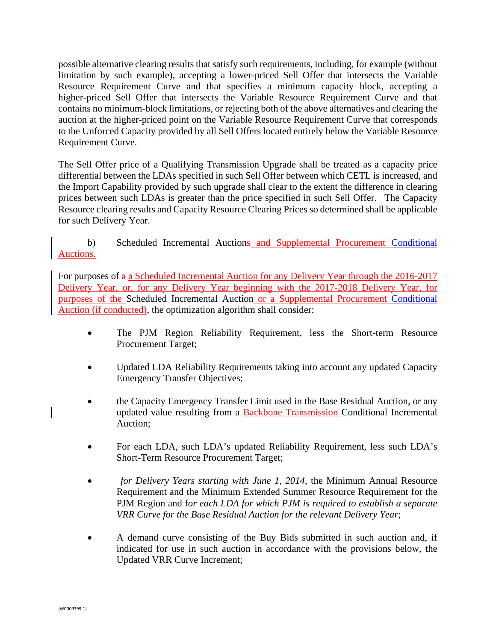possible alternative clearing results that satisfy such requirements, including, for example (without limitation by such example), accepting a lower-priced Sell Offer that intersects the Variable Resource Requirement Curve and that specifies a minimum capacity block, accepting a higher-priced Sell Offer that intersects the Variable Resource Requirement Curve and that contains no minimum-block limitations, or rejecting both of the above alternatives and clearing the auction at the higher-priced point on the Variable Resource Requirement Curve that corresponds to the Unforced Capacity provided by all Sell Offers located entirely below the Variable Resource Requirement Curve.

The Sell Offer price of a Qualifying Transmission Upgrade shall be treated as a capacity price differential between the LDAs specified in such Sell Offer between which CETL is increased, and the Import Capability provided by such upgrade shall clear to the extent the difference in clearing prices between such LDAs is greater than the price specified in such Sell Offer. The Capacity Resource clearing results and Capacity Resource Clearing Prices so determined shall be applicable for such Delivery Year.

## b) Scheduled Incremental Auctions and Supplemental Procurement Conditional Auctions.

For purposes of  $a$ -a Scheduled Incremental Auction for any Delivery Year through the 2016-2017 Delivery Year, or, for any Delivery Year beginning with the 2017-2018 Delivery Year, for purposes of the Scheduled Incremental Auction or a Supplemental Procurement Conditional Auction (if conducted), the optimization algorithm shall consider:

- The PJM Region Reliability Requirement, less the Short-term Resource Procurement Target;
- Updated LDA Reliability Requirements taking into account any updated Capacity Emergency Transfer Objectives;
- the Capacity Emergency Transfer Limit used in the Base Residual Auction, or any updated value resulting from a Backbone Transmission Conditional Incremental Auction;
- For each LDA, such LDA's updated Reliability Requirement, less such LDA's Short-Term Resource Procurement Target;
- *for Delivery Years starting with June 1, 2014,* the Minimum Annual Resource Requirement and the Minimum Extended Summer Resource Requirement for the PJM Region and f*or each LDA for which PJM is required to establish a separate VRR Curve for the Base Residual Auction for the relevant Delivery Year*;
- A demand curve consisting of the Buy Bids submitted in such auction and, if indicated for use in such auction in accordance with the provisions below, the Updated VRR Curve Increment;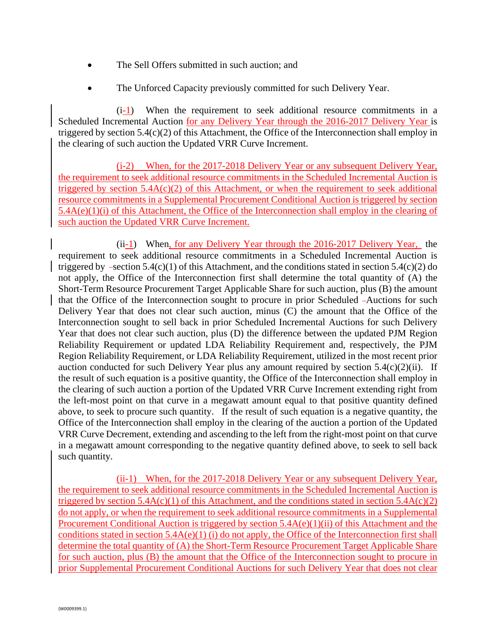- The Sell Offers submitted in such auction; and
- The Unforced Capacity previously committed for such Delivery Year.

(i-1) When the requirement to seek additional resource commitments in a Scheduled Incremental Auction for any Delivery Year through the 2016-2017 Delivery Year is triggered by section 5.4(c)(2) of this Attachment, the Office of the Interconnection shall employ in the clearing of such auction the Updated VRR Curve Increment.

(i-2) When, for the 2017-2018 Delivery Year or any subsequent Delivery Year, the requirement to seek additional resource commitments in the Scheduled Incremental Auction is triggered by section  $5.4A(c)(2)$  of this Attachment, or when the requirement to seek additional resource commitments in a Supplemental Procurement Conditional Auction is triggered by section 5.4A(e)(1)(i) of this Attachment, the Office of the Interconnection shall employ in the clearing of such auction the Updated VRR Curve Increment.

 $(ii-1)$  When, for any Delivery Year through the 2016-2017 Delivery Year, the requirement to seek additional resource commitments in a Scheduled Incremental Auction is triggered by  $-section 5.4(c)(1)$  of this Attachment, and the conditions stated in section 5.4(c)(2) do not apply, the Office of the Interconnection first shall determine the total quantity of (A) the Short-Term Resource Procurement Target Applicable Share for such auction, plus (B) the amount that the Office of the Interconnection sought to procure in prior Scheduled Auctions for such Delivery Year that does not clear such auction, minus (C) the amount that the Office of the Interconnection sought to sell back in prior Scheduled Incremental Auctions for such Delivery Year that does not clear such auction, plus (D) the difference between the updated PJM Region Reliability Requirement or updated LDA Reliability Requirement and, respectively, the PJM Region Reliability Requirement, or LDA Reliability Requirement, utilized in the most recent prior auction conducted for such Delivery Year plus any amount required by section  $5.4(c)(2)(ii)$ . If the result of such equation is a positive quantity, the Office of the Interconnection shall employ in the clearing of such auction a portion of the Updated VRR Curve Increment extending right from the left-most point on that curve in a megawatt amount equal to that positive quantity defined above, to seek to procure such quantity. If the result of such equation is a negative quantity, the Office of the Interconnection shall employ in the clearing of the auction a portion of the Updated VRR Curve Decrement, extending and ascending to the left from the right-most point on that curve in a megawatt amount corresponding to the negative quantity defined above, to seek to sell back such quantity.

(ii-1) When, for the 2017-2018 Delivery Year or any subsequent Delivery Year, the requirement to seek additional resource commitments in the Scheduled Incremental Auction is triggered by section  $5.4A(c)(1)$  of this Attachment, and the conditions stated in section  $5.4A(c)(2)$ do not apply, or when the requirement to seek additional resource commitments in a Supplemental Procurement Conditional Auction is triggered by section 5.4A(e)(1)(ii) of this Attachment and the conditions stated in section 5.4A(e)(1) (i) do not apply, the Office of the Interconnection first shall determine the total quantity of (A) the Short-Term Resource Procurement Target Applicable Share for such auction, plus (B) the amount that the Office of the Interconnection sought to procure in prior Supplemental Procurement Conditional Auctions for such Delivery Year that does not clear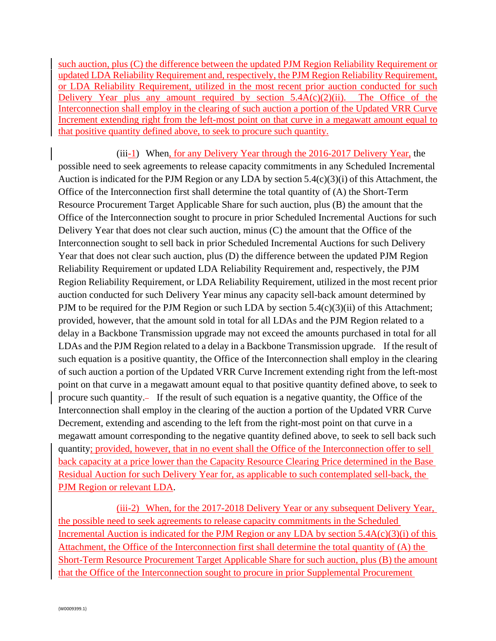such auction, plus (C) the difference between the updated PJM Region Reliability Requirement or updated LDA Reliability Requirement and, respectively, the PJM Region Reliability Requirement, or LDA Reliability Requirement, utilized in the most recent prior auction conducted for such Delivery Year plus any amount required by section  $5.4A(c)(2)(ii)$ . The Office of the Interconnection shall employ in the clearing of such auction a portion of the Updated VRR Curve Increment extending right from the left-most point on that curve in a megawatt amount equal to that positive quantity defined above, to seek to procure such quantity.

(iii-1) When, for any Delivery Year through the 2016-2017 Delivery Year, the possible need to seek agreements to release capacity commitments in any Scheduled Incremental Auction is indicated for the PJM Region or any LDA by section 5.4(c)(3)(i) of this Attachment, the Office of the Interconnection first shall determine the total quantity of (A) the Short-Term Resource Procurement Target Applicable Share for such auction, plus (B) the amount that the Office of the Interconnection sought to procure in prior Scheduled Incremental Auctions for such Delivery Year that does not clear such auction, minus (C) the amount that the Office of the Interconnection sought to sell back in prior Scheduled Incremental Auctions for such Delivery Year that does not clear such auction, plus (D) the difference between the updated PJM Region Reliability Requirement or updated LDA Reliability Requirement and, respectively, the PJM Region Reliability Requirement, or LDA Reliability Requirement, utilized in the most recent prior auction conducted for such Delivery Year minus any capacity sell-back amount determined by PJM to be required for the PJM Region or such LDA by section  $5.4(c)(3)(ii)$  of this Attachment; provided, however, that the amount sold in total for all LDAs and the PJM Region related to a delay in a Backbone Transmission upgrade may not exceed the amounts purchased in total for all LDAs and the PJM Region related to a delay in a Backbone Transmission upgrade. If the result of such equation is a positive quantity, the Office of the Interconnection shall employ in the clearing of such auction a portion of the Updated VRR Curve Increment extending right from the left-most point on that curve in a megawatt amount equal to that positive quantity defined above, to seek to procure such quantity. If the result of such equation is a negative quantity, the Office of the Interconnection shall employ in the clearing of the auction a portion of the Updated VRR Curve Decrement, extending and ascending to the left from the right-most point on that curve in a megawatt amount corresponding to the negative quantity defined above, to seek to sell back such quantity; provided, however, that in no event shall the Office of the Interconnection offer to sell back capacity at a price lower than the Capacity Resource Clearing Price determined in the Base Residual Auction for such Delivery Year for, as applicable to such contemplated sell-back, the PJM Region or relevant LDA.

(iii-2) When, for the 2017-2018 Delivery Year or any subsequent Delivery Year, the possible need to seek agreements to release capacity commitments in the Scheduled Incremental Auction is indicated for the PJM Region or any LDA by section  $5.4A(c)(3)(i)$  of this Attachment, the Office of the Interconnection first shall determine the total quantity of (A) the Short-Term Resource Procurement Target Applicable Share for such auction, plus (B) the amount that the Office of the Interconnection sought to procure in prior Supplemental Procurement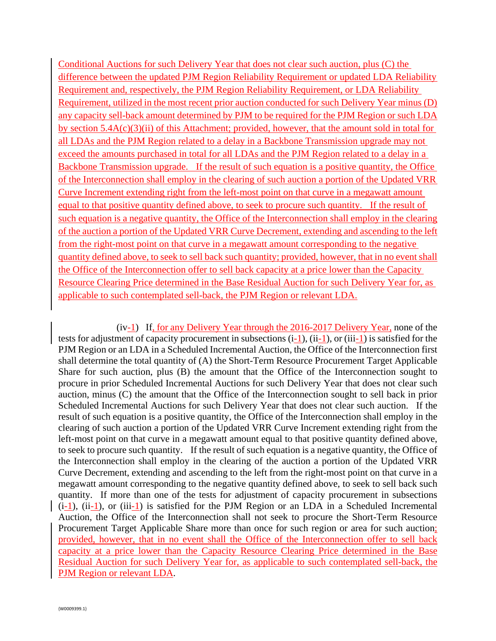Conditional Auctions for such Delivery Year that does not clear such auction, plus (C) the difference between the updated PJM Region Reliability Requirement or updated LDA Reliability Requirement and, respectively, the PJM Region Reliability Requirement, or LDA Reliability Requirement, utilized in the most recent prior auction conducted for such Delivery Year minus (D) any capacity sell-back amount determined by PJM to be required for the PJM Region or such LDA by section 5.4A(c)(3)(ii) of this Attachment; provided, however, that the amount sold in total for all LDAs and the PJM Region related to a delay in a Backbone Transmission upgrade may not exceed the amounts purchased in total for all LDAs and the PJM Region related to a delay in a Backbone Transmission upgrade. If the result of such equation is a positive quantity, the Office of the Interconnection shall employ in the clearing of such auction a portion of the Updated VRR Curve Increment extending right from the left-most point on that curve in a megawatt amount equal to that positive quantity defined above, to seek to procure such quantity. If the result of such equation is a negative quantity, the Office of the Interconnection shall employ in the clearing of the auction a portion of the Updated VRR Curve Decrement, extending and ascending to the left from the right-most point on that curve in a megawatt amount corresponding to the negative quantity defined above, to seek to sell back such quantity; provided, however, that in no event shall the Office of the Interconnection offer to sell back capacity at a price lower than the Capacity Resource Clearing Price determined in the Base Residual Auction for such Delivery Year for, as applicable to such contemplated sell-back, the PJM Region or relevant LDA.

(iv-1) If, for any Delivery Year through the 2016-2017 Delivery Year, none of the tests for adjustment of capacity procurement in subsections (i-1), (ii-1), or (iii-1) is satisfied for the PJM Region or an LDA in a Scheduled Incremental Auction, the Office of the Interconnection first shall determine the total quantity of (A) the Short-Term Resource Procurement Target Applicable Share for such auction, plus (B) the amount that the Office of the Interconnection sought to procure in prior Scheduled Incremental Auctions for such Delivery Year that does not clear such auction, minus (C) the amount that the Office of the Interconnection sought to sell back in prior Scheduled Incremental Auctions for such Delivery Year that does not clear such auction. If the result of such equation is a positive quantity, the Office of the Interconnection shall employ in the clearing of such auction a portion of the Updated VRR Curve Increment extending right from the left-most point on that curve in a megawatt amount equal to that positive quantity defined above, to seek to procure such quantity. If the result of such equation is a negative quantity, the Office of the Interconnection shall employ in the clearing of the auction a portion of the Updated VRR Curve Decrement, extending and ascending to the left from the right-most point on that curve in a megawatt amount corresponding to the negative quantity defined above, to seek to sell back such quantity. If more than one of the tests for adjustment of capacity procurement in subsections  $(i-1)$ ,  $(ii-1)$ , or  $(iii-1)$  is satisfied for the PJM Region or an LDA in a Scheduled Incremental Auction, the Office of the Interconnection shall not seek to procure the Short-Term Resource Procurement Target Applicable Share more than once for such region or area for such auction; provided, however, that in no event shall the Office of the Interconnection offer to sell back capacity at a price lower than the Capacity Resource Clearing Price determined in the Base Residual Auction for such Delivery Year for, as applicable to such contemplated sell-back, the PJM Region or relevant LDA.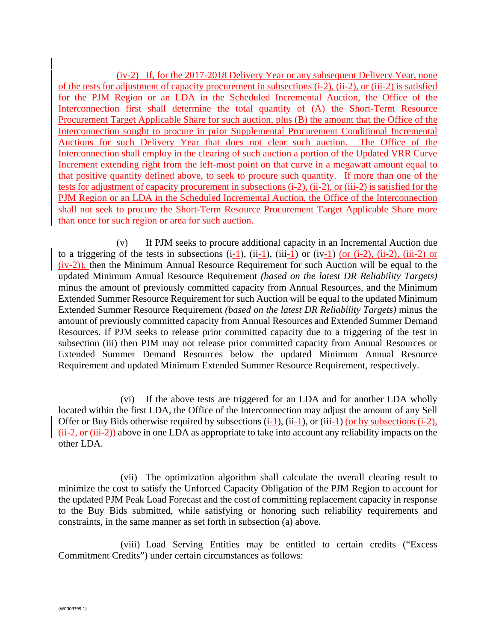(iv-2) If, for the 2017-2018 Delivery Year or any subsequent Delivery Year, none of the tests for adjustment of capacity procurement in subsections (i-2), (ii-2), or (iii-2) is satisfied for the PJM Region or an LDA in the Scheduled Incremental Auction, the Office of the Interconnection first shall determine the total quantity of (A) the Short-Term Resource Procurement Target Applicable Share for such auction, plus (B) the amount that the Office of the Interconnection sought to procure in prior Supplemental Procurement Conditional Incremental Auctions for such Delivery Year that does not clear such auction. The Office of the Interconnection shall employ in the clearing of such auction a portion of the Updated VRR Curve Increment extending right from the left-most point on that curve in a megawatt amount equal to that positive quantity defined above, to seek to procure such quantity. If more than one of the tests for adjustment of capacity procurement in subsections (i-2), (ii-2), or (iii-2) is satisfied for the PJM Region or an LDA in the Scheduled Incremental Auction, the Office of the Interconnection shall not seek to procure the Short-Term Resource Procurement Target Applicable Share more than once for such region or area for such auction.

(v) If PJM seeks to procure additional capacity in an Incremental Auction due to a triggering of the tests in subsections  $(i-1)$ ,  $(ii-1)$ ,  $(iii-1)$  or  $(iv-1)$  (or  $(i-2)$ ,  $(ii-2)$ ,  $(iii-2)$  or (iv-2)), then the Minimum Annual Resource Requirement for such Auction will be equal to the updated Minimum Annual Resource Requirement *(based on the latest DR Reliability Targets)* minus the amount of previously committed capacity from Annual Resources, and the Minimum Extended Summer Resource Requirement for such Auction will be equal to the updated Minimum Extended Summer Resource Requirement *(based on the latest DR Reliability Targets)* minus the amount of previously committed capacity from Annual Resources and Extended Summer Demand Resources. If PJM seeks to release prior committed capacity due to a triggering of the test in subsection (iii) then PJM may not release prior committed capacity from Annual Resources or Extended Summer Demand Resources below the updated Minimum Annual Resource Requirement and updated Minimum Extended Summer Resource Requirement, respectively.

 (vi) If the above tests are triggered for an LDA and for another LDA wholly located within the first LDA, the Office of the Interconnection may adjust the amount of any Sell Offer or Buy Bids otherwise required by subsections (i-1), (ii-1), or (iii-1) (or by subsections (i-2), (ii-2, or (iii-2)) above in one LDA as appropriate to take into account any reliability impacts on the other LDA.

 (vii) The optimization algorithm shall calculate the overall clearing result to minimize the cost to satisfy the Unforced Capacity Obligation of the PJM Region to account for the updated PJM Peak Load Forecast and the cost of committing replacement capacity in response to the Buy Bids submitted, while satisfying or honoring such reliability requirements and constraints, in the same manner as set forth in subsection (a) above.

 (viii) Load Serving Entities may be entitled to certain credits ("Excess Commitment Credits") under certain circumstances as follows: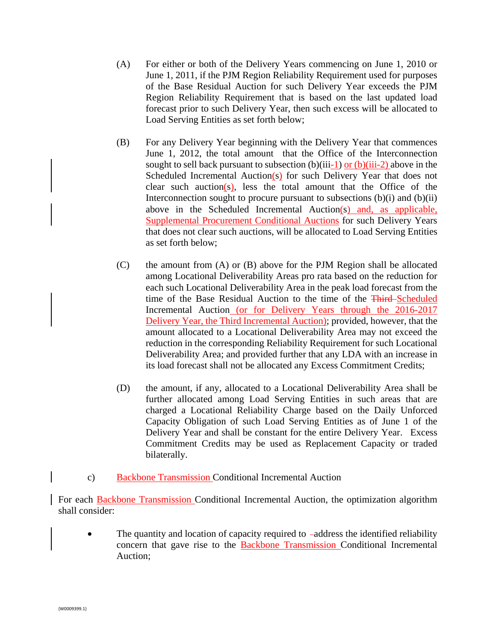- (A) For either or both of the Delivery Years commencing on June 1, 2010 or June 1, 2011, if the PJM Region Reliability Requirement used for purposes of the Base Residual Auction for such Delivery Year exceeds the PJM Region Reliability Requirement that is based on the last updated load forecast prior to such Delivery Year, then such excess will be allocated to Load Serving Entities as set forth below;
- (B) For any Delivery Year beginning with the Delivery Year that commences June 1, 2012, the total amount that the Office of the Interconnection sought to sell back pursuant to subsection (b)(iii-1) or (b)(iii-2) above in the Scheduled Incremental Auction $(s)$  for such Delivery Year that does not clear such auction(s), less the total amount that the Office of the Interconnection sought to procure pursuant to subsections (b)(i) and (b)(ii) above in the Scheduled Incremental Auction(s) and, as applicable, Supplemental Procurement Conditional Auctions for such Delivery Years that does not clear such auctions, will be allocated to Load Serving Entities as set forth below;
- (C) the amount from (A) or (B) above for the PJM Region shall be allocated among Locational Deliverability Areas pro rata based on the reduction for each such Locational Deliverability Area in the peak load forecast from the time of the Base Residual Auction to the time of the Third-Scheduled Incremental Auction (or for Delivery Years through the 2016-2017 Delivery Year, the Third Incremental Auction); provided, however, that the amount allocated to a Locational Deliverability Area may not exceed the reduction in the corresponding Reliability Requirement for such Locational Deliverability Area; and provided further that any LDA with an increase in its load forecast shall not be allocated any Excess Commitment Credits;
- (D) the amount, if any, allocated to a Locational Deliverability Area shall be further allocated among Load Serving Entities in such areas that are charged a Locational Reliability Charge based on the Daily Unforced Capacity Obligation of such Load Serving Entities as of June 1 of the Delivery Year and shall be constant for the entire Delivery Year. Excess Commitment Credits may be used as Replacement Capacity or traded bilaterally.
- c) Backbone Transmission Conditional Incremental Auction

For each Backbone Transmission Conditional Incremental Auction, the optimization algorithm shall consider:

• The quantity and location of capacity required to -address the identified reliability concern that gave rise to the Backbone Transmission Conditional Incremental Auction;